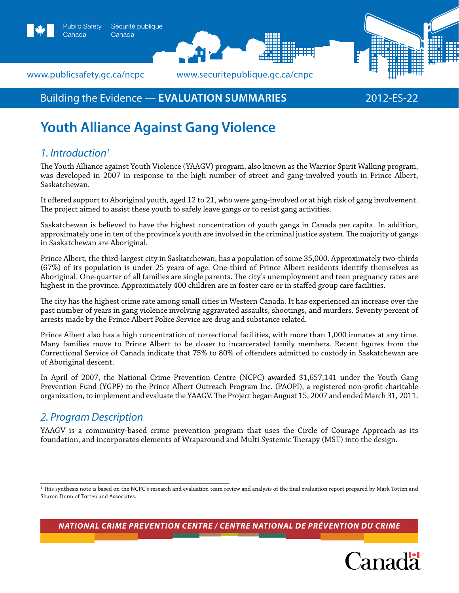

Canada





# **Youth Alliance Against Gang Violence**

## *1. Introduction1*

The Youth Alliance against Youth Violence (YAAGV) program, also known as the Warrior Spirit Walking program, was developed in 2007 in response to the high number of street and gang-involved youth in Prince Albert, Saskatchewan.

It offered support to Aboriginal youth, aged 12 to 21, who were gang-involved or at high risk of gang involvement. The project aimed to assist these youth to safely leave gangs or to resist gang activities.

Saskatchewan is believed to have the highest concentration of youth gangs in Canada per capita. In addition, approximately one in ten of the province's youth are involved in the criminal justice system. The majority of gangs in Saskatchewan are Aboriginal.

Prince Albert, the third-largest city in Saskatchewan, has a population of some 35,000. Approximately two-thirds (67%) of its population is under 25 years of age. One-third of Prince Albert residents identify themselves as Aboriginal. One-quarter of all families are single parents. The city's unemployment and teen pregnancy rates are highest in the province. Approximately 400 children are in foster care or in staffed group care facilities.

The city has the highest crime rate among small cities in Western Canada. It has experienced an increase over the past number of years in gang violence involving aggravated assaults, shootings, and murders. Seventy percent of arrests made by the Prince Albert Police Service are drug and substance related.

Prince Albert also has a high concentration of correctional facilities, with more than 1,000 inmates at any time. Many families move to Prince Albert to be closer to incarcerated family members. Recent figures from the Correctional Service of Canada indicate that 75% to 80% of offenders admitted to custody in Saskatchewan are of Aboriginal descent.

In April of 2007, the National Crime Prevention Centre (NCPC) awarded \$1,657,141 under the Youth Gang Prevention Fund (YGPF) to the Prince Albert Outreach Program Inc. (PAOPI), a registered non-profit charitable organization, to implement and evaluate the YAAGV. The Project began August 15, 2007 and ended March 31, 2011.

## *2. Program Description*

YAAGV is a community-based crime prevention program that uses the Circle of Courage Approach as its foundation, and incorporates elements of Wraparound and Multi Systemic Therapy (MST) into the design.

*National Crime Prevention Centre / centre national de prévention du crime*



<sup>1</sup> This synthesis note is based on the NCPC's research and evaluation team review and analysis of the final evaluation report prepared by Mark Totten and Sharon Dunn of Totten and Associates.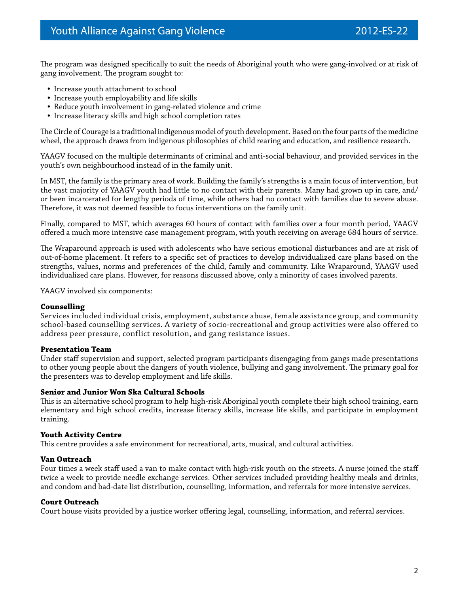The program was designed specifically to suit the needs of Aboriginal youth who were gang-involved or at risk of gang involvement. The program sought to:

- Increase youth attachment to school
- Increase youth employability and life skills
- Reduce youth involvement in gang-related violence and crime
- Increase literacy skills and high school completion rates

The Circle of Courage is a traditional indigenous model of youth development. Based on the four parts of the medicine wheel, the approach draws from indigenous philosophies of child rearing and education, and resilience research.

YAAGV focused on the multiple determinants of criminal and anti-social behaviour, and provided services in the youth's own neighbourhood instead of in the family unit.

In MST, the family is the primary area of work. Building the family's strengths is a main focus of intervention, but the vast majority of YAAGV youth had little to no contact with their parents. Many had grown up in care, and/ or been incarcerated for lengthy periods of time, while others had no contact with families due to severe abuse. Therefore, it was not deemed feasible to focus interventions on the family unit.

Finally, compared to MST, which averages 60 hours of contact with families over a four month period, YAAGV offered a much more intensive case management program, with youth receiving on average 684 hours of service.

The Wraparound approach is used with adolescents who have serious emotional disturbances and are at risk of out-of-home placement. It refers to a specific set of practices to develop individualized care plans based on the strengths, values, norms and preferences of the child, family and community. Like Wraparound, YAAGV used individualized care plans. However, for reasons discussed above, only a minority of cases involved parents.

YAAGV involved six components:

#### **Counselling**

Services included individual crisis, employment, substance abuse, female assistance group, and community school-based counselling services. A variety of socio-recreational and group activities were also offered to address peer pressure, conflict resolution, and gang resistance issues.

#### **Presentation Team**

Under staff supervision and support, selected program participants disengaging from gangs made presentations to other young people about the dangers of youth violence, bullying and gang involvement. The primary goal for the presenters was to develop employment and life skills.

#### **Senior and Junior Won Ska Cultural Schools**

This is an alternative school program to help high-risk Aboriginal youth complete their high school training, earn elementary and high school credits, increase literacy skills, increase life skills, and participate in employment training.

#### **Youth Activity Centre**

This centre provides a safe environment for recreational, arts, musical, and cultural activities.

#### **Van Outreach**

Four times a week staff used a van to make contact with high-risk youth on the streets. A nurse joined the staff twice a week to provide needle exchange services. Other services included providing healthy meals and drinks, and condom and bad-date list distribution, counselling, information, and referrals for more intensive services.

#### **Court Outreach**

Court house visits provided by a justice worker offering legal, counselling, information, and referral services.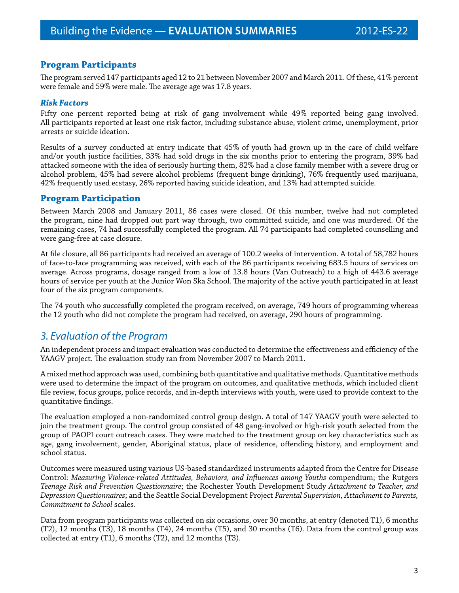### **Program Participants**

The program served 147 participants aged 12 to 21 between November 2007 and March 2011. Of these, 41% percent were female and 59% were male. The average age was 17.8 years.

#### *Risk Factors*

Fifty one percent reported being at risk of gang involvement while 49% reported being gang involved. All participants reported at least one risk factor, including substance abuse, violent crime, unemployment, prior arrests or suicide ideation.

Results of a survey conducted at entry indicate that 45% of youth had grown up in the care of child welfare and/or youth justice facilities, 33% had sold drugs in the six months prior to entering the program, 39% had attacked someone with the idea of seriously hurting them, 82% had a close family member with a severe drug or alcohol problem, 45% had severe alcohol problems (frequent binge drinking), 76% frequently used marijuana, 42% frequently used ecstasy, 26% reported having suicide ideation, and 13% had attempted suicide.

#### **Program Participation**

Between March 2008 and January 2011, 86 cases were closed. Of this number, twelve had not completed the program, nine had dropped out part way through, two committed suicide, and one was murdered. Of the remaining cases, 74 had successfully completed the program. All 74 participants had completed counselling and were gang-free at case closure.

At file closure, all 86 participants had received an average of 100.2 weeks of intervention. A total of 58,782 hours of face-to-face programming was received, with each of the 86 participants receiving 683.5 hours of services on average. Across programs, dosage ranged from a low of 13.8 hours (Van Outreach) to a high of 443.6 average hours of service per youth at the Junior Won Ska School. The majority of the active youth participated in at least four of the six program components.

The 74 youth who successfully completed the program received, on average, 749 hours of programming whereas the 12 youth who did not complete the program had received, on average, 290 hours of programming.

## *3. Evaluation of the Program*

An independent process and impact evaluation was conducted to determine the effectiveness and efficiency of the YAAGV project. The evaluation study ran from November 2007 to March 2011.

A mixed method approach was used, combining both quantitative and qualitative methods. Quantitative methods were used to determine the impact of the program on outcomes, and qualitative methods, which included client file review, focus groups, police records, and in-depth interviews with youth, were used to provide context to the quantitative findings.

The evaluation employed a non-randomized control group design. A total of 147 YAAGV youth were selected to join the treatment group. The control group consisted of 48 gang-involved or high-risk youth selected from the group of PAOPI court outreach cases. They were matched to the treatment group on key characteristics such as age, gang involvement, gender, Aboriginal status, place of residence, offending history, and employment and school status.

Outcomes were measured using various US-based standardized instruments adapted from the Centre for Disease Control: *Measuring Violence-related Attitudes, Behaviors, and Influences among Youths* compendium; the Rutgers *Teenage Risk and Prevention Questionnaire*; the Rochester Youth Development Study *Attachment to Teacher, and Depression Questionnaires*; and the Seattle Social Development Project *Parental Supervision, Attachment to Parents, Commitment to School* scales.

Data from program participants was collected on six occasions, over 30 months, at entry (denoted T1), 6 months (T2), 12 months (T3), 18 months (T4), 24 months (T5), and 30 months (T6). Data from the control group was collected at entry (T1), 6 months (T2), and 12 months (T3).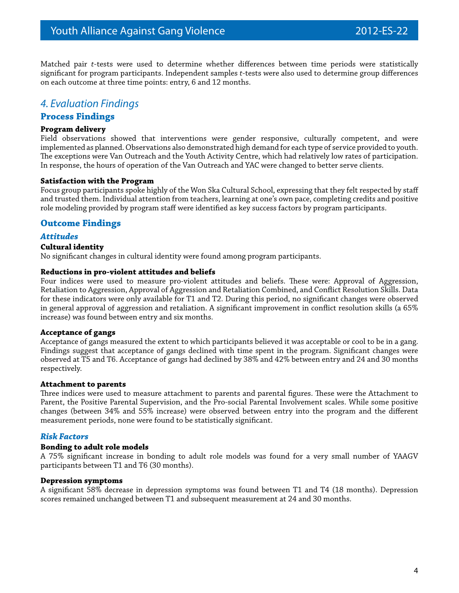Matched pair *t*-tests were used to determine whether differences between time periods were statistically significant for program participants. Independent samples *t*-tests were also used to determine group differences on each outcome at three time points: entry, 6 and 12 months.

## *4. Evaluation Findings*

### **Process Findings**

#### **Program delivery**

Field observations showed that interventions were gender responsive, culturally competent, and were implemented as planned. Observations also demonstrated high demand for each type of service provided to youth. The exceptions were Van Outreach and the Youth Activity Centre, which had relatively low rates of participation. In response, the hours of operation of the Van Outreach and YAC were changed to better serve clients.

#### **Satisfaction with the Program**

Focus group participants spoke highly of the Won Ska Cultural School, expressing that they felt respected by staff and trusted them. Individual attention from teachers, learning at one's own pace, completing credits and positive role modeling provided by program staff were identified as key success factors by program participants.

#### **Outcome Findings**

#### *Attitudes*

#### **Cultural identity**

No significant changes in cultural identity were found among program participants.

#### **Reductions in pro-violent attitudes and beliefs**

Four indices were used to measure pro-violent attitudes and beliefs. These were: Approval of Aggression, Retaliation to Aggression, Approval of Aggression and Retaliation Combined, and Conflict Resolution Skills. Data for these indicators were only available for T1 and T2. During this period, no significant changes were observed in general approval of aggression and retaliation. A significant improvement in conflict resolution skills (a 65% increase) was found between entry and six months.

#### **Acceptance of gangs**

Acceptance of gangs measured the extent to which participants believed it was acceptable or cool to be in a gang. Findings suggest that acceptance of gangs declined with time spent in the program. Significant changes were observed at T5 and T6. Acceptance of gangs had declined by 38% and 42% between entry and 24 and 30 months respectively.

#### **Attachment to parents**

Three indices were used to measure attachment to parents and parental figures. These were the Attachment to Parent, the Positive Parental Supervision, and the Pro-social Parental Involvement scales. While some positive changes (between 34% and 55% increase) were observed between entry into the program and the different measurement periods, none were found to be statistically significant.

#### *Risk Factors*

#### **Bonding to adult role models**

A 75% significant increase in bonding to adult role models was found for a very small number of YAAGV participants between T1 and T6 (30 months).

#### **Depression symptoms**

A significant 58% decrease in depression symptoms was found between T1 and T4 (18 months). Depression scores remained unchanged between T1 and subsequent measurement at 24 and 30 months.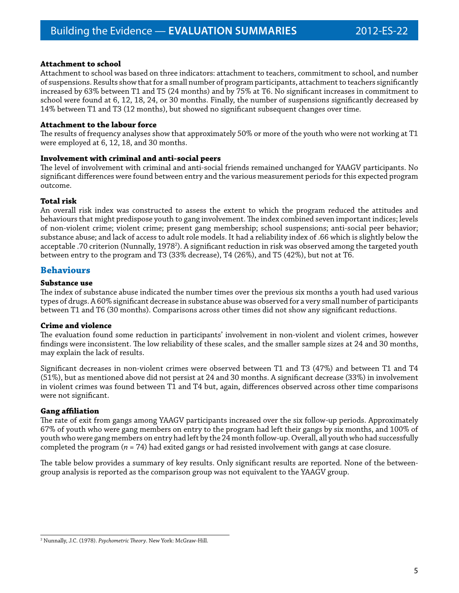#### **Attachment to school**

Attachment to school was based on three indicators: attachment to teachers, commitment to school, and number of suspensions. Results show that for a small number of program participants, attachment to teachers significantly increased by 63% between T1 and T5 (24 months) and by 75% at T6. No significant increases in commitment to school were found at 6, 12, 18, 24, or 30 months. Finally, the number of suspensions significantly decreased by 14% between T1 and T3 (12 months), but showed no significant subsequent changes over time.

#### **Attachment to the labour force**

The results of frequency analyses show that approximately 50% or more of the youth who were not working at T1 were employed at 6, 12, 18, and 30 months.

#### **Involvement with criminal and anti-social peers**

The level of involvement with criminal and anti-social friends remained unchanged for YAAGV participants. No significant differences were found between entry and the various measurement periods for this expected program outcome.

#### **Total risk**

An overall risk index was constructed to assess the extent to which the program reduced the attitudes and behaviours that might predispose youth to gang involvement. The index combined seven important indices; levels of non-violent crime; violent crime; present gang membership; school suspensions; anti-social peer behavior; substance abuse; and lack of access to adult role models. It had a reliability index of .66 which is slightly below the acceptable .70 criterion (Nunnally, 1978<sup>2</sup>). A significant reduction in risk was observed among the targeted youth between entry to the program and T3 (33% decrease), T4 (26%), and T5 (42%), but not at T6.

#### **Behaviours**

#### **Substance use**

The index of substance abuse indicated the number times over the previous six months a youth had used various types of drugs. A 60% significant decrease in substance abuse was observed for a very small number of participants between T1 and T6 (30 months). Comparisons across other times did not show any significant reductions.

#### **Crime and violence**

The evaluation found some reduction in participants' involvement in non-violent and violent crimes, however findings were inconsistent. The low reliability of these scales, and the smaller sample sizes at 24 and 30 months, may explain the lack of results.

Significant decreases in non-violent crimes were observed between T1 and T3 (47%) and between T1 and T4 (51%), but as mentioned above did not persist at 24 and 30 months. A significant decrease (33%) in involvement in violent crimes was found between T1 and T4 but, again, differences observed across other time comparisons were not significant.

#### **Gang affiliation**

The rate of exit from gangs among YAAGV participants increased over the six follow-up periods. Approximately 67% of youth who were gang members on entry to the program had left their gangs by six months, and 100% of youth who were gang members on entry had left by the 24 month follow-up. Overall, all youth who had successfully completed the program (*n* = 74) had exited gangs or had resisted involvement with gangs at case closure.

The table below provides a summary of key results. Only significant results are reported. None of the betweengroup analysis is reported as the comparison group was not equivalent to the YAAGV group.

<sup>2</sup> Nunnally, J.C. (1978). *Psychometric Theory*. New York: McGraw-Hill.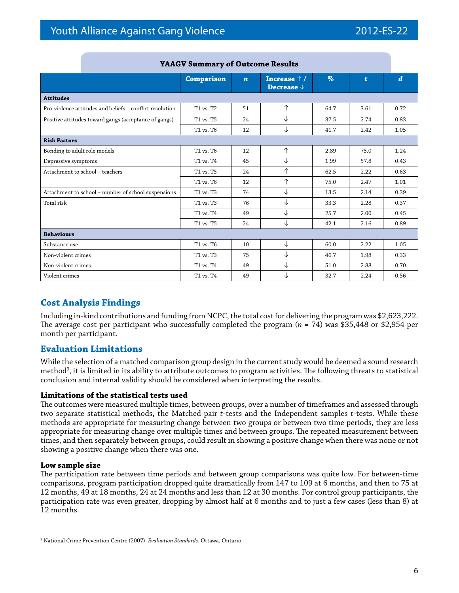|                                                          | <b>Comparison</b> | $\boldsymbol{n}$ | Increase $\uparrow$ /<br>Decrease $\downarrow$ | $\%$ | t    | $\boldsymbol{d}$ |
|----------------------------------------------------------|-------------------|------------------|------------------------------------------------|------|------|------------------|
| <b>Attitudes</b>                                         |                   |                  |                                                |      |      |                  |
| Pro-violence attitudes and beliefs - conflict resolution | T1 vs. T2         | 51               | $\uparrow$                                     | 64.7 | 3.61 | 0.72             |
| Positive attitudes toward gangs (acceptance of gangs)    | T1 vs. T5         | 24               | ↓                                              | 37.5 | 2.74 | 0.83             |
|                                                          | T1 vs. T6         | 12               | ↓                                              | 41.7 | 2.42 | 1.05             |
| <b>Risk Factors</b>                                      |                   |                  |                                                |      |      |                  |
| Bonding to adult role models                             | T1 vs. T6         | 12               | $\uparrow$                                     | 2.89 | 75.0 | 1.24             |
| Depressive symptoms                                      | T1 vs. T4         | 45               | ↓                                              | 1.99 | 57.8 | 0.43             |
| Attachment to school - teachers                          | T1 vs. T5         | 24               | 个                                              | 62.5 | 2.22 | 0.63             |
|                                                          | T1 vs. T6         | 12               | $\uparrow$                                     | 75.0 | 2.47 | 1.01             |
| Attachment to school - number of school suspensions      | T1 vs. T3         | 74               | ↓                                              | 13.5 | 2.14 | 0.39             |
| Total risk                                               | T1 vs. T3         | 76               | ↓                                              | 33.3 | 2.28 | 0.37             |
|                                                          | T1 vs. T4         | 49               | ↓                                              | 25.7 | 2.00 | 0.45             |
|                                                          | T1 vs. T5         | 24               | ↓                                              | 42.1 | 2.16 | 0.89             |
| <b>Behaviours</b>                                        |                   |                  |                                                |      |      |                  |
| Substance use                                            | T1 vs. T6         | 10               | ↓                                              | 60.0 | 2.22 | 1.05             |
| Non-violent crimes                                       | T1 vs. T3         | 75               | ↓                                              | 46.7 | 1.98 | 0.33             |
| Non-violent crimes                                       | T1 vs. T4         | 49               | ↓                                              | 51.0 | 2.88 | 0.70             |
| Violent crimes                                           | T1 vs. T4         | 49               | ↓                                              | 32.7 | 2.24 | 0.56             |

#### **YAAGV Summary of Outcome Results**

## **Cost Analysis Findings**

Including in-kind contributions and funding from NCPC, the total cost for delivering the program was \$2,623,222. The average cost per participant who successfully completed the program (*n* = 74) was \$35,448 or \$2,954 per month per participant.

### **Evaluation Limitations**

While the selection of a matched comparison group design in the current study would be deemed a sound research method<sup>3</sup>, it is limited in its ability to attribute outcomes to program activities. The following threats to statistical conclusion and internal validity should be considered when interpreting the results.

#### **Limitations of the statistical tests used**

The outcomes were measured multiple times, between groups, over a number of timeframes and assessed through two separate statistical methods, the Matched pair *t*-tests and the Independent samples *t*-tests. While these methods are appropriate for measuring change between two groups or between two time periods, they are less appropriate for measuring change over multiple times and between groups. The repeated measurement between times, and then separately between groups, could result in showing a positive change when there was none or not showing a positive change when there was one.

#### **Low sample size**

The participation rate between time periods and between group comparisons was quite low. For between-time comparisons, program participation dropped quite dramatically from 147 to 109 at 6 months, and then to 75 at 12 months, 49 at 18 months, 24 at 24 months and less than 12 at 30 months. For control group participants, the participation rate was even greater, dropping by almost half at 6 months and to just a few cases (less than 8) at 12 months.

<sup>3</sup> National Crime Prevention Centre (2007). *Evaluation Standards*. Ottawa, Ontario.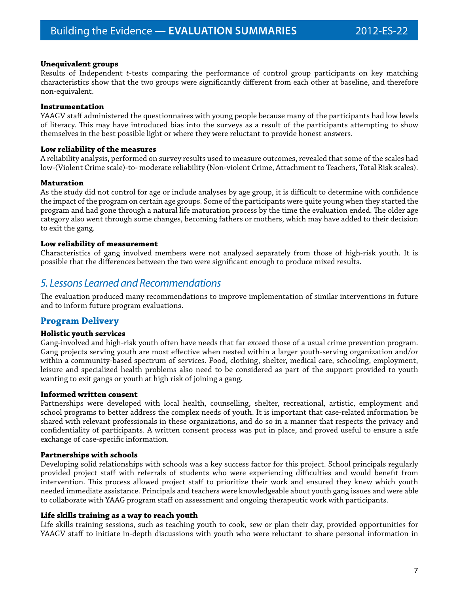#### **Unequivalent groups**

Results of Independent *t*-tests comparing the performance of control group participants on key matching characteristics show that the two groups were significantly different from each other at baseline, and therefore non-equivalent.

#### **Instrumentation**

YAAGV staff administered the questionnaires with young people because many of the participants had low levels of literacy. This may have introduced bias into the surveys as a result of the participants attempting to show themselves in the best possible light or where they were reluctant to provide honest answers.

#### **Low reliability of the measures**

A reliability analysis, performed on survey results used to measure outcomes, revealed that some of the scales had low-(Violent Crime scale)-to- moderate reliability (Non-violent Crime, Attachment to Teachers, Total Risk scales).

#### **Maturation**

As the study did not control for age or include analyses by age group, it is difficult to determine with confidence the impact of the program on certain age groups. Some of the participants were quite young when they started the program and had gone through a natural life maturation process by the time the evaluation ended. The older age category also went through some changes, becoming fathers or mothers, which may have added to their decision to exit the gang.

#### **Low reliability of measurement**

Characteristics of gang involved members were not analyzed separately from those of high-risk youth. It is possible that the differences between the two were significant enough to produce mixed results.

## *5. Lessons Learned and Recommendations*

The evaluation produced many recommendations to improve implementation of similar interventions in future and to inform future program evaluations.

#### **Program Delivery**

#### **Holistic youth services**

Gang-involved and high-risk youth often have needs that far exceed those of a usual crime prevention program. Gang projects serving youth are most effective when nested within a larger youth-serving organization and/or within a community-based spectrum of services. Food, clothing, shelter, medical care, schooling, employment, leisure and specialized health problems also need to be considered as part of the support provided to youth wanting to exit gangs or youth at high risk of joining a gang.

#### **Informed written consent**

Partnerships were developed with local health, counselling, shelter, recreational, artistic, employment and school programs to better address the complex needs of youth. It is important that case-related information be shared with relevant professionals in these organizations, and do so in a manner that respects the privacy and confidentiality of participants. A written consent process was put in place, and proved useful to ensure a safe exchange of case-specific information.

#### **Partnerships with schools**

Developing solid relationships with schools was a key success factor for this project. School principals regularly provided project staff with referrals of students who were experiencing difficulties and would benefit from intervention. This process allowed project staff to prioritize their work and ensured they knew which youth needed immediate assistance. Principals and teachers were knowledgeable about youth gang issues and were able to collaborate with YAAG program staff on assessment and ongoing therapeutic work with participants.

#### **Life skills training as a way to reach youth**

Life skills training sessions, such as teaching youth to cook, sew or plan their day, provided opportunities for YAAGV staff to initiate in-depth discussions with youth who were reluctant to share personal information in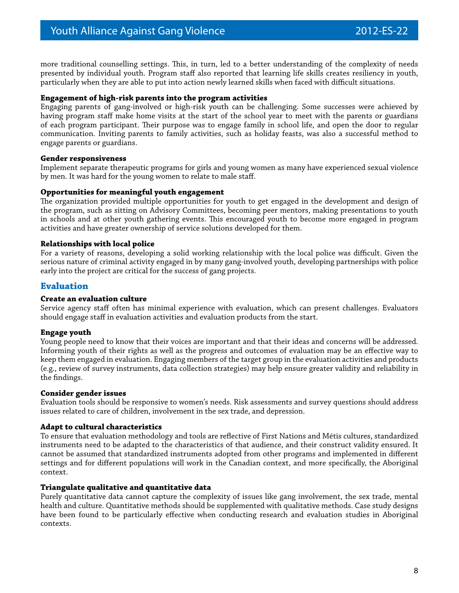more traditional counselling settings. This, in turn, led to a better understanding of the complexity of needs presented by individual youth. Program staff also reported that learning life skills creates resiliency in youth, particularly when they are able to put into action newly learned skills when faced with difficult situations.

#### **Engagement of high-risk parents into the program activities**

Engaging parents of gang-involved or high-risk youth can be challenging. Some successes were achieved by having program staff make home visits at the start of the school year to meet with the parents or guardians of each program participant. Their purpose was to engage family in school life, and open the door to regular communication. Inviting parents to family activities, such as holiday feasts, was also a successful method to engage parents or guardians.

#### **Gender responsiveness**

Implement separate therapeutic programs for girls and young women as many have experienced sexual violence by men. It was hard for the young women to relate to male staff.

#### **Opportunities for meaningful youth engagement**

The organization provided multiple opportunities for youth to get engaged in the development and design of the program, such as sitting on Advisory Committees, becoming peer mentors, making presentations to youth in schools and at other youth gathering events. This encouraged youth to become more engaged in program activities and have greater ownership of service solutions developed for them.

#### **Relationships with local police**

For a variety of reasons, developing a solid working relationship with the local police was difficult. Given the serious nature of criminal activity engaged in by many gang-involved youth, developing partnerships with police early into the project are critical for the success of gang projects.

#### **Evaluation**

#### **Create an evaluation culture**

Service agency staff often has minimal experience with evaluation, which can present challenges. Evaluators should engage staff in evaluation activities and evaluation products from the start.

#### **Engage youth**

Young people need to know that their voices are important and that their ideas and concerns will be addressed. Informing youth of their rights as well as the progress and outcomes of evaluation may be an effective way to keep them engaged in evaluation. Engaging members of the target group in the evaluation activities and products (e.g., review of survey instruments, data collection strategies) may help ensure greater validity and reliability in the findings.

#### **Consider gender issues**

Evaluation tools should be responsive to women's needs. Risk assessments and survey questions should address issues related to care of children, involvement in the sex trade, and depression.

#### **Adapt to cultural characteristics**

To ensure that evaluation methodology and tools are reflective of First Nations and Métis cultures, standardized instruments need to be adapted to the characteristics of that audience, and their construct validity ensured. It cannot be assumed that standardized instruments adopted from other programs and implemented in different settings and for different populations will work in the Canadian context, and more specifically, the Aboriginal context.

#### **Triangulate qualitative and quantitative data**

Purely quantitative data cannot capture the complexity of issues like gang involvement, the sex trade, mental health and culture. Quantitative methods should be supplemented with qualitative methods. Case study designs have been found to be particularly effective when conducting research and evaluation studies in Aboriginal contexts.